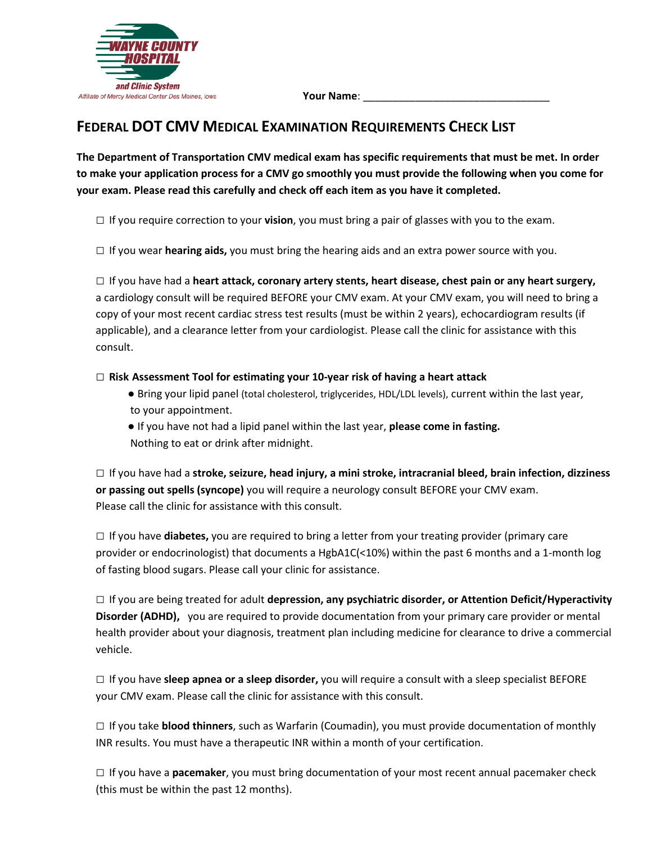

## **FEDERAL DOT CMV MEDICAL EXAMINATION REQUIREMENTS CHECK LIST**

**The Department of Transportation CMV medical exam has specific requirements that must be met. In order to make your application process for a CMV go smoothly you must provide the following when you come for your exam. Please read this carefully and check off each item as you have it completed.**

□ If you require correction to your **vision**, you must bring a pair of glasses with you to the exam.

□ If you wear **hearing aids,** you must bring the hearing aids and an extra power source with you.

□ If you have had a **heart attack, coronary artery stents, heart disease, chest pain or any heart surgery,**  a cardiology consult will be required BEFORE your CMV exam. At your CMV exam, you will need to bring a copy of your most recent cardiac stress test results (must be within 2 years), echocardiogram results (if applicable), and a clearance letter from your cardiologist. Please call the clinic for assistance with this consult.

□ **Risk Assessment Tool for estimating your 10-year risk of having a heart attack**

- Bring your lipid panel (total cholesterol, triglycerides, HDL/LDL levels), current within the last year, to your appointment.
- If you have not had a lipid panel within the last year, **please come in fasting.** Nothing to eat or drink after midnight.

□ If you have had a **stroke, seizure, head injury, a mini stroke, intracranial bleed, brain infection, dizziness or passing out spells (syncope)** you will require a neurology consult BEFORE your CMV exam. Please call the clinic for assistance with this consult.

□ If you have **diabetes,** you are required to bring a letter from your treating provider (primary care provider or endocrinologist) that documents a HgbA1C(<10%) within the past 6 months and a 1-month log of fasting blood sugars. Please call your clinic for assistance.

□ If you are being treated for adult **depression, any psychiatric disorder, or Attention Deficit/Hyperactivity Disorder (ADHD),** you are required to provide documentation from your primary care provider or mental health provider about your diagnosis, treatment plan including medicine for clearance to drive a commercial vehicle.

□ If you have **sleep apnea or a sleep disorder,** you will require a consult with a sleep specialist BEFORE your CMV exam. Please call the clinic for assistance with this consult.

□ If you take **blood thinners**, such as Warfarin (Coumadin), you must provide documentation of monthly INR results. You must have a therapeutic INR within a month of your certification.

□ If you have a **pacemaker**, you must bring documentation of your most recent annual pacemaker check (this must be within the past 12 months).